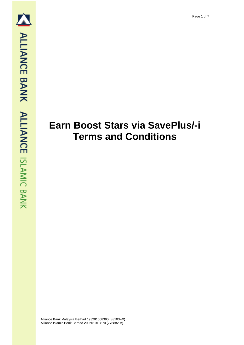## **Earn Boost Stars via SavePlus/-i Terms and Conditions**

Alliance Bank Malaysia Berhad 198201008390 (88103-W) Alliance Islamic Bank Berhad 200701018870 (776882-V)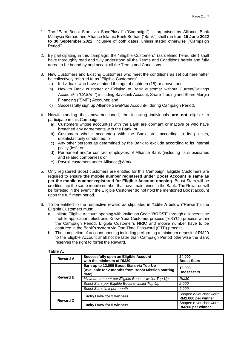- 1. The "Earn Boost Stars via SavePlus/-i" ("Campaign") is organised by Alliance Bank Malaysia Berhad and Alliance Islamic Bank Berhad ("Bank") shall run from **15 June 2022 to 30 September 2022**; inclusive of both dates, unless stated otherwise ("Campaign Period").
- 2. By participating in this campaign, the "Eligible Customers" (as defined hereunder) shall have thoroughly read and fully understood all the Terms and Conditions herein and fully agree to be bound by and accept all the Terms and Conditions.
- 3. New Customers and Existing Customers who meet the conditions as set out hereinafter be collectively referred to as "Eligible Customers"
	- a) Individuals who have attained the age of eighteen (18) or above; and
	- b) New to Bank customer or Existing to Bank customer without Current/Savings Account/-i ("CASA/-i") including SaveLink Account, Share Trading and Share Margin Financing ("SMF") Accounts; and
	- c) Successfully sign up Alliance SavePlus Account/-i during Campaign Period.
- 4. Notwithstanding the abovementioned, the following individuals **are not** eligible to participate in this Campaign:
	- a) Customers whose account(s) with the Bank are dormant or inactive or who have breached any agreements with the Bank; or
	- b) Customers whose account(s) with the Bank are, according to its policies, unsatisfactorily conducted; or
	- c) Any other persons as determined by the Bank to exclude according to its internal policy (ies); or
	- d) Permanent and/or contract employees of Alliance Bank (including its subsidiaries and related companies); or
	- e) Payroll customers under Alliance@Work.
- 5. Only registered Boost customers are entitled for this Campaign. Eligible Customers are required to ensure **the mobile number registered under Boost Account is same as per the mobile number registered for Eligible Account opening**. Boost Stars will be credited into the same mobile number that have maintained in the Bank. The Rewards will be forfeited in the event if the Eligible Customer do not hold the mentioned Boost account upon the fulfilment period.
- 6. To be entitled to the respective reward as stipulated in **Table A** below ("Reward"), the Eligible Customers must:
	- a. Initiate Eligible Account opening with Invitation Code "**BOOST**" through allianceonline mobile application, electronic Know Your Customer process ("eKYC") process within the Campaign Period. Eligible Customer's NRIC and mobile number have to be captured in the Bank's system via One Time Password (OTP) process.
	- b. The completion of account opening including performing a minimum deposit of RM20 to the Eligible Account shall not be later than Campaign Period otherwise the Bank reserves the right to forfeit the Reward.

## **Table A:**

| <b>Reward A</b> | Successfully open an Eligible Account<br>24,000<br>with the minimum of RM20<br><b>Boost Stars</b>        |                                              |
|-----------------|----------------------------------------------------------------------------------------------------------|----------------------------------------------|
| <b>Reward B</b> | Earn up to 12,000 Boost Stars via Top-Up<br>(Available for 2 months from Boost Mission starting<br>date) | 12,000<br><b>Boost Stars</b>                 |
|                 | Minimum amount per Eligible Boost e-wallet Top-Up                                                        | <b>RM30</b>                                  |
|                 | Boost Stars per Eligible Boost e-wallet Top-Up                                                           | 2,000                                        |
|                 | Boost Stars limit per month                                                                              | 6,000                                        |
| <b>Reward C</b> | <b>Lucky Draw for 2 winners</b>                                                                          | Shopee e-voucher worth<br>RM1,000 per winner |
|                 | <b>Lucky Draw for 5 winners</b>                                                                          | Shopee e-voucher worth<br>RM200 per winner   |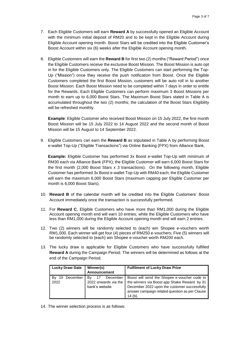- 7. Each Eligible Customers will earn **Reward A** by successfully opened an Eligible Account with the minimum initial deposit of RM20 and to be kept in the Eligible Account during Eligible Account opening month. Boost Stars will be credited into the Eligible Customer's Boost Account within six (6) weeks after the Eligible Account opening month.
- 8. Eligible Customers will earn the **Reward B** for first two (2) months ("Reward Period") once the Eligible Customers receive the exclusive Boost Mission. The Boost Mission is auto opt in for the Eligible Customers only. The Eligible Customers can start performing the Top-Up ("Mission") once they receive the push notification from Boost. Once the Eligible Customers completed the first Boost Mission, customers will be auto roll in to another Boost Mission. Each Boost Mission need to be completed within 7 days in order to entitle for the Rewards. Each Eligible Customers can perform maximum 3 Boost Missions per month to earn up to 6,000 Boost Stars. The Maximum Boost Stars stated in Table A is accumulated throughout the two (2) months; the calculation of the Boost Stars Eligibility will be refreshed monthly.

**Example**: Eligible Customer who received Boost Mission on 15 July 2022, the first month Boost Mission will be 15 July 2022 to 14 August 2022 and the second month of Boost Mission will be 15 August to 14 September 2022.

9. Eligible Customers can earn the **Reward B** as stipulated in Table A by performing Boost e-wallet Top-Up ("Eligible Transactions") via Online Banking (FPX) from Alliance Bank.

**Example:** Eligible Customer has performed 3x Boost e-wallet Top-Up with minimum of RM30 each via Alliance Bank (FPX); the Eligible Customer will earn 6,000 Boost Stars for the first month (2,000 Boost Stars x 3 transactions). On the following month, Eligible Customer has performed 3x Boost e-wallet Top-Up with RM40 each; the Eligible Customer will earn the maximum 6,000 Boost Stars (maximum capping per Eligible Customer per month is 6,000 Boost Stars).

- 10. **Reward B** of the calendar month will be credited into the Eligible Customers' Boost Account immediately once the transaction is successfully performed.
- 11. For **Reward C**, Eligible Customers who have more than RM1,000 during the Eligible Account opening month end will earn 10 entries; while the Eligible Customers who have less than RM1,000 during the Eligible Account opening month end will earn 2 entries.
- 12. Two (2) winners will be randomly selected to (each) win Shopee e-vouchers worth RM1,000. Each winner will get four (4) pieces of RM250 e-vouchers; Five (5) winners will be randomly selected to (each) win Shopee e-voucher worth RM200 each.
- 13. The lucky draw is applicable for Eligible Customers who have successfully fulfilled **Reward A** during the Campaign Period. The winners will be determined as follows at the end of the Campaign Period.

| <b>Lucky Draw Date</b>       | Winner(s)<br><b>Announcement</b>                               | <b>Fulfilment of Lucky Draw Prize</b>                                                                                                                                                                       |
|------------------------------|----------------------------------------------------------------|-------------------------------------------------------------------------------------------------------------------------------------------------------------------------------------------------------------|
| December<br>By<br>10<br>2022 | 17<br>Bv<br>December<br>2022 onwards via the<br>bank's website | Boost will send the Shopee e-voucher code to<br>the winners via Boost app Shake Reward by 31<br>December 2022 upon the customer successfully<br>answer campaign related question as per Clause<br>$14(b)$ . |

14. The winner selection process is as follows: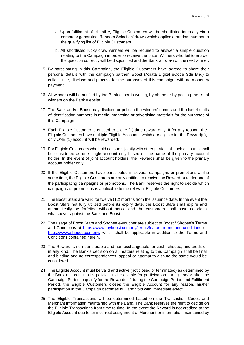- a. Upon fulfilment of eligibility, Eligible Customers will be shortlisted internally via a computer generated 'Random Selection' draws which applies a random number to the qualifying list of Eligible Customers.
- b. All shortlisted lucky draw winners will be required to answer a simple question relating to the Campaign in order to receive the prize. Winners who fail to answer the question correctly will be disqualified and the Bank will draw on the next winner.
- 15. By participating in this Campaign, the Eligible Customers have agreed to share their personal details with the campaign partner, Boost (Axiata Digital eCode Sdn Bhd) to collect, use, disclose and process for the purposes of this campaign, with no monetary payment.
- 16. All winners will be notified by the Bank either in writing, by phone or by posting the list of winners on the Bank website.
- 17. The Bank and/or Boost may disclose or publish the winners' names and the last 4 digits of identification numbers in media, marketing or advertising materials for the purposes of this Campaign.
- 18. Each Eligible Customer is entitled to a one (1) time reward only. If for any reason, the Eligible Customers have multiple Eligible Accounts, which are eligible for the Reward(s), only ONE (1) account will be rewarded.
- 19. For Eligible Customers who hold accounts jointly with other parties, all such accounts shall be considered as one single account only based on the name of the primary account holder. In the event of joint account holders, the Rewards shall be given to the primary account holder only.
- 20. If the Eligible Customers have participated in several campaigns or promotions at the same time, the Eligible Customers are only entitled to receive the Reward(s) under one of the participating campaigns or promotions. The Bank reserves the right to decide which campaigns or promotions is applicable to the relevant Eligible Customers.
- 21. The Boost Stars are valid for twelve (12) months from the issuance date. In the event the Boost Stars not fully utilized before its expiry date, the Boost Stars shall expire and automatically be forfeited without notice and the customers shall have no claim whatsoever against the Bank and Boost.
- 22. The usage of Boost Stars and Shopee e-voucher are subject to Boost / Shopee's Terms and Conditions at<https://www.myboost.com.my/terms/feature-terms-and-conditions> or <https://www.shopee.com.my/> which shall be applicable in addition to the Terms and Conditions contained herein.
- 23. The Reward is non-transferable and non-exchangeable for cash, cheque, and credit or in any kind. The Bank's decision on all matters relating to this Campaign shall be final and binding and no correspondences, appeal or attempt to dispute the same would be considered.
- 24. The Eligible Account must be valid and active (not closed or terminated) as determined by the Bank according to its policies, to be eligible for participation during and/or after the Campaign Period to qualify for the Rewards. If during the Campaign Period and Fulfilment Period, the Eligible Customers closes the Eligible Account for any reason, his/her participation in the Campaign becomes null and void with immediate effect.
- 25. The Eligible Transactions will be determined based on the Transaction Codes and Merchant information maintained with the Bank. The Bank reserves the right to decide on the Eligible Transactions from time to time. In the event the Reward is not credited to the Eligible Account due to an incorrect assignment of Merchant or information maintained by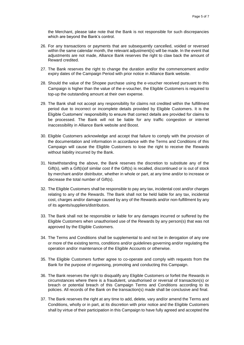the Merchant, please take note that the Bank is not responsible for such discrepancies which are beyond the Bank's control.

- 26. For any transactions or payments that are subsequently cancelled, voided or reversed within the same calendar month, the relevant adjustment(s) will be made. In the event that adjustments are not made, Alliance Bank reserves the right to claw back the amount of Reward credited.
- 27. The Bank reserves the right to change the duration and/or the commencement and/or expiry dates of the Campaign Period with prior notice in Alliance Bank website.
- 28. Should the value of the Shopee purchase using the e-voucher received pursuant to this Campaign is higher than the value of the e-voucher, the Eligible Customers is required to top-up the outstanding amount at their own expense.
- 29. The Bank shall not accept any responsibility for claims not credited within the fulfillment period due to incorrect or incomplete details provided by Eligible Customers. It is the Eligible Customers' responsibility to ensure that correct details are provided for claims to be processed. The Bank will not be liable for any traffic congestion or internet inaccessibility in Alliance Bank website and Boost.
- 30. Eligible Customers acknowledge and accept that failure to comply with the provision of the documentation and information in accordance with the Terms and Conditions of this Campaign will cause the Eligible Customers to lose the right to receive the Rewards without liability incurred by the Bank.
- 31. Notwithstanding the above, the Bank reserves the discretion to substitute any of the Gift(s), with a Gift(s)of similar cost if the Gift(s) is recalled, discontinued or is out of stock by merchant and/or distributor, whether in whole or part, at any time and/or to increase or decrease the total number of Gift(s).
- 32. The Eligible Customers shall be responsible to pay any tax, incidental cost and/or charges relating to any of the Rewards. The Bank shall not be held liable for any tax, incidental cost, charges and/or damage caused by any of the Rewards and/or non-fulfillment by any of its agents/suppliers/distributors.
- 33. The Bank shall not be responsible or liable for any damages incurred or suffered by the Eligible Customers when unauthorised use of the Rewards by any person(s) that was not approved by the Eligible Customers.
- 34. The Terms and Conditions shall be supplemental to and not be in derogation of any one or more of the existing terms, conditions and/or guidelines governing and/or regulating the operation and/or maintenance of the Eligible Accounts or otherwise.
- 35. The Eligible Customers further agree to co-operate and comply with requests from the Bank for the purpose of organising, promoting and conducting this Campaign.
- 36. The Bank reserves the right to disqualify any Eligible Customers or forfeit the Rewards in circumstances where there is a fraudulent, unauthorised or reversal of transaction(s) or breach or potential breach of this Campaign Terms and Conditions according to its policies. All records of the Bank on the transaction(s) made shall be conclusive and final.
- 37. The Bank reserves the right at any time to add, delete, vary and/or amend the Terms and Conditions, wholly or in part, at its discretion with prior notice and the Eligible Customers shall by virtue of their participation in this Campaign to have fully agreed and accepted the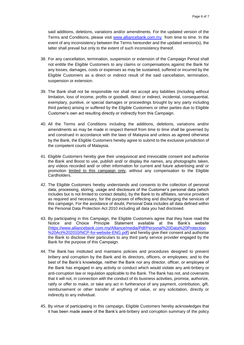said additions, deletions, variations and/or amendments. For the updated version of the Terms and Conditions, please visit [www.alliancebank.com.my](http://www.alliancebank.com.my/) from time to time. In the event of any inconsistency between the Terms hereunder and the updated version(s), the latter shall prevail but only to the extent of such inconsistency thereof.

- 38. For any cancellation, termination, suspension or extension of the Campaign Period shall not entitle the Eligible Customers to any claims or compensations against the Bank for any losses, damages, costs or expenses as may be sustained, suffered or incurred by the Eligible Customers as a direct or indirect result of the said cancellation, termination, suspension or extension.
- 39. The Bank shall not be responsible nor shall not accept any liabilities (including without limitation, loss of income, profits or goodwill, direct or indirect, incidental, consequential, exemplary, punitive, or special damages or proceedings brought by any party including third parties) arising or suffered by the Eligible Customers or other parties due to Eligible Customer's own act resulting directly or indirectly from this Campaign.
- 40. All the Terms and Conditions including the additions, deletions, variations and/or amendments as may be made in respect thereof from time to time shall be governed by and construed in accordance with the laws of Malaysia and unless as agreed otherwise by the Bank, the Eligible Customers hereby agree to submit to the exclusive jurisdiction of the competent courts of Malaysia.
- 41. Eligible Customers hereby give their unequivocal and irrevocable consent and authorise the Bank and Boost to use, publish and/ or display the names, any photographs taken, any videos recorded and/ or other information for current and future advertising and/ or promotion limited to this campaign only, without any compensation to the Eligible Cardholders.
- 42. The Eligible Customers hereby understands and consents to the collection of personal data, processing, storing, usage and disclosure of the Customer's personal data (which includes but is not limited to contact details), by the Bank to its affiliates, service providers as required and necessary, for the purposes of effecting and discharging the services of this campaign. For the avoidance of doubt, Personal Data includes all data defined within the Personal Data Protection Act 2010 including all data you had disclosed.
- 43. By participating in this Campaign, the Eligible Customers agree that they have read the Notice and Choice Principle Statement available at the Bank's website [\(https://www.alliancebank.com.my/Alliance/media/Pdf/Personal%20Data%20Protection](https://www.alliancebank.com.my/Alliance/media/Pdf/Personal%20Data%20Protection%20Act%202010/NCP-for-website-ENG.pdf) [%20Act%202010/NCP-for-website-ENG.pdf\)](https://www.alliancebank.com.my/Alliance/media/Pdf/Personal%20Data%20Protection%20Act%202010/NCP-for-website-ENG.pdf) and hereby give their consent and authorise the Bank to disclose their particulars to any third party service provider engaged by the Bank for the purpose of this Campaign.
- 44. The Bank has instituted and maintains policies and procedures designed to prevent bribery and corruption by the Bank and its directors, officers, or employees; and to the best of the Bank's knowledge, neither the Bank nor any director, officer, or employee of the Bank has engaged in any activity or conduct which would violate any anti-bribery or anti-corruption law or regulation applicable to the Bank. The Bank has not, and covenants that it will not, in connection with the conduct of its business activities, promise, authorize, ratify or offer to make, or take any act in furtherance of any payment, contribution, gift, reimbursement or other transfer of anything of value, or any solicitation, directly or indirectly to any individual.
- 45. By virtue of participating in this campaign, Eligible Customers hereby acknowledges that it has been made aware of the Bank's anti-bribery and corruption summary of the policy